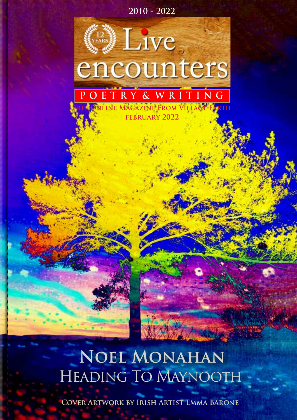

# **Noel Monahan** Heading To Maynooth

**Cover Artwork by Irish Artist Emma Barone**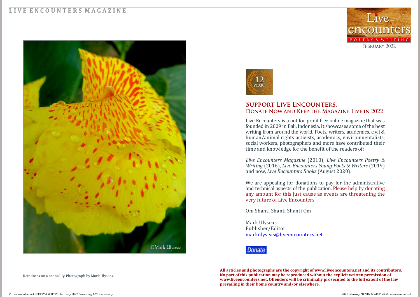#### **L I V E E N C O U N T E R S M A G A Z I N E**



**All articles and photographs are the copyright of www.liveencounters.net and its contributors. No part of this publication may be reproduced without the explicit written permission of www.liveencounters.net. Offenders will be criminally prosecuted to the full extent of the law prevailing in their home country and/or elsewhere.** 

Raindrops on a canna lily. Photograph by Mark Ulyseas.



#### **Support Live Encounters. Donate Now and Keep the Magazine Live in 2022**

Live Encounters is a not-for-profit free online magazine that was founded in 2009 in Bali, Indonesia. It showcases some of the best writing from around the world. Poets, writers, academics, civil & human/animal rights activists, academics, environmentalists, social workers, photographers and more have contributed their time and knowledge for the benefit of the readers of:

*Live Encounters Magazine* (2010), *Live Encounters Poetry & Writing* (2016), *Live Encounters Young Poets & Writers* (2019) and now, *Live Encounters Books* (August 2020).

We are appealing for donations to pay for the administrative and technical aspects of the publication. Please help by donating any amount for this just cause as events are threatening the very future of Live Encounters.

Om Shanti Shanti Shanti Om

Mark Ulyseas Publisher/Editor markulyseas@liveencounters.net



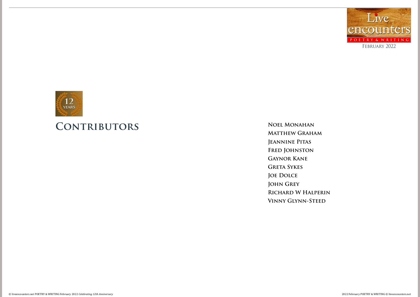**[Noel Monahan](#page-5-0) [Matthew Graham](#page-5-0) [Jeannine Pitas](#page-5-0) [Fred Johnston](#page-14-0)  [Gaynor Kane](#page-17-0)  [Greta Sykes](#page-20-0) [Joe Dolce](#page-24-0) [John Grey](#page-27-0)  [Richard W Halperin](#page-31-0) [Vinny Glynn-Steed](#page-34-0)** 



# **Contributors**

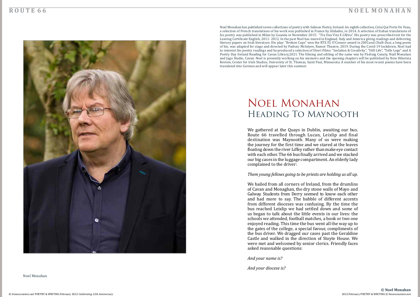# NOEL MONAHAN Heading To Maynooth

We gathered at the Quays in Dublin, awaiting our bus. Route 66 travelled through Lucan, Leixlip and final destination was Maynooth. Many of us were making the journey for the first time and we stared at the leaves floating down the river Liffey rather than make eye contact with each other. The 66 bus finally arrived and we stacked our big cases in the luggage compartment. An elderly lady complained to the driver:

#### *Them young fellows going to be priests are holding us all up.*

We hailed from all corners of Ireland, from the drumlins of Cavan and Monaghan, the dry stone walls of Mayo and Galway. Students from Derry seemed to know each other and had more to say. The babble of different accents from different dioceses was confusing. By the time the bus reached Leixlip we had settled down and some of us began to talk about the little events in our lives: the schools we attended, football matches, a book or two one enjoyed reading. This time the bus went all the way up to the gates of the college, a special favour, compliments of the bus driver. We dragged our cases past the Geraldine Castle and walked in the direction of Stoyte House. We were met and welcomed by senior clerics. Friendly faces asked reasonable questions:

*And your name is?*

*And your diocese is?*

#### **R O U T E 6 6**



Noel Monahan

Noel Monahan has published seven collections of poetry with Salmon Poetry, Ireland. An eighth collection, Celui Qui Porte Un Veau, a selection of French translations of his work was published in France by Alidades, in 2014. A selection of Italian translations of his poetry was published in Milan by Guanda in November 2015: "Tra Una Vita E L'Altra". His poetry was prescribed text for the Leaving Certificate English, 2011- 2012. In the past Noel has toured in England, Italy and America giving readings and delivering literary papers on Irish literature. His play: "Broken Cups" won the RTE P.J. O'Connor award in 2001and *Chalk Dust*, a long poem of his, was adapted for stage and directed by Padraic McIntyre, Ramor Theatre, 2019. During the Covid-19 lockdown, Noel had to reinvent his poetry readings and he produced a selection of Short Films: "Isolation & Creativity", "Still Life", "Tolle Lege" and A Poetry Day Ireland Reading for Cavan Library,2021. The filming and editing of the same was by Pádraig Conaty, Niall Monahan and Jago Studio, Cavan. Noel is presently working on his memoirs and the opening chapters will be published by New Hibernia Review, Center for Irish Studies, University of St. Thomas, Saint Paul, Minnesota. A number of his most recent poems have been translated into German and will appear later this summer.

#### **N O E L M O N A H A N**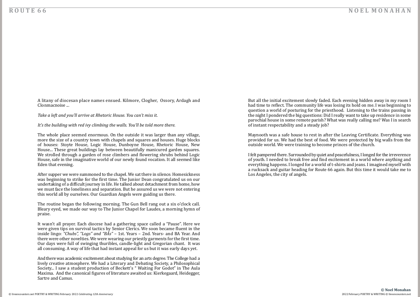A litany of diocesan place names ensued. Kilmore, Clogher, Ossory, Ardagh and Clonmacnoise ...

*Take a left and you'll arrive at Rhetoric House. You can't miss it.*

*It's the building with red ivy climbing the walls. You'll be told more there.* 

The whole place seemed enormous. On the outside it was larger than any village, more the size of a country town with chapels and squares and houses. Huge blocks of houses: Stoyte House, Logic House, Dunboyne House, Rhetoric House, New House... These great buildings lay between beautifully manicured garden squares. We strolled through a garden of rose climbers and flowering shrubs behind Logic House, safe in the imaginative world of our newly found vocation. It all seemed like Eden that evening.

After supper we were summoned to the chapel. We sat there in silence. Homesickness was beginning to strike for the first time. The Junior Dean congratulated us on our undertaking of a difficult journey in life. He talked about detachment from home, how we must face the loneliness and separation. But he assured us we were not entering this world all by ourselves. Our Guardian Angels were guiding us there.

The routine began the following morning. The Gun Bell rang out a six o'clock call. Bleary eyed, we made our way to The Junior Chapel for Laudes, a morning hymn of praise.

It wasn't all prayer. Each diocese had a gathering space called a "Pause". Here we were given tips on survival tactics by Senior Clerics. We soon became fluent in the inside lingo: *"Chubs", "Logs" and "BÁs"* – 1st. Years – 2nd. Years- and BA Year. And there were other novelties. We were wearing our priestly garments for the first time. Our days were full of swinging thuribles, candle-light and Gregorian chant. It was all consuming. A way of life that had instant appeal for us but it was early days yet.

And there was academic excitement about studying for an arts degree. The College had a lively creative atmosphere. We had a Literary and Debating Society, a Philosophical Society... I saw a student production of Beckett's " Waiting For Godot" in The Aula Maxima. And the canonical figures of literature awaited us: Kierkegaard, Heidegger, Sartre and Camus.

But all the initial excitement slowly faded. Each evening hidden away in my room I had time to reflect. The community life was losing its hold on me. I was beginning to question a world of posturing for the priesthood. Listening to the trains passing in the night I pondered the big questions: Did I really want to take up residence in some parochial house in some remote parish? What was really calling me? Was I in search of instant respectability and a steady job?

Maynooth was a safe house to rest in after the Leaving Certificate. Everything was provided for us. We had the best of food. We were protected by big walls from the outside world. We were training to become princes of the church.

I felt pampered there. Surrounded by quiet and peacefulness, I longed for the irreverence of youth. I needed to break free and find excitement in a world where anything and everything happens. I longed for a world of t-shirts and jeans. I imagined myself with a rucksack and guitar heading for Route 66 again. But this time it would take me to Los Angeles, the city of angels.

#### **R O U T E 6 6 N O E L M O N A H A N**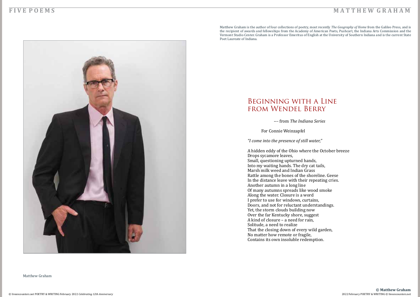#### <span id="page-5-0"></span>**F I V E P O E M S**



Matthew Graham

## Beginning with a Line from Wendel Berry

--- from *The Indiana Series*

For Connie Weinzapfel

#### *"I come into the presence of still water,"*

A hidden eddy of the Ohio where the October breeze Drops sycamore leaves, Small, questioning upturned hands, Into my waiting hands. The dry cat tails, Marsh milk weed and Indian Grass Rattle among the bones of the shoreline. Geese In the distance leave with their repeating cries. Another autumn in a long line Of many autumns spreads like wood smoke Along the water. Closure is a word I prefer to use for windows, curtains, Doors, and not for reluctant understandings. Yet, the storm clouds building now Over the far Kentucky shore, suggest A kind of closure – a need for rain, Solitude, a need to realize That the closing down of every wild garden, No matter how remote or fragile, Contains its own insoluble redemption.

#### **M A T T H E W G R A H A M**



Matthew Graham is the author of four collections of poetry, most recently *The Geography of Home* from the Galileo Press, and is the recipient of awards and fellowships from the Academy of American Poets, Pushcart, the Indiana Arts Commission and the Vermont Studio Center. Graham is a Professor Emeritus of English at the University of Southern Indiana and is the current State Poet Laureate of Indiana.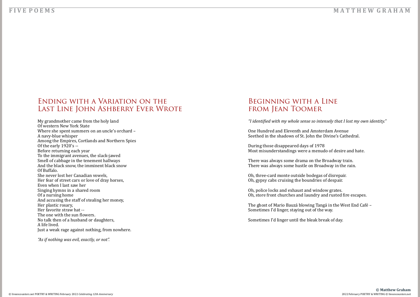#### **F I V E P O E M S**

## Ending with a Variation on the Last Line John Ashberry Ever Wrote

My grandmother came from the holy land Of western New York State Where she spent summers on an uncle's orchard – A navy-blue whisper Among the Empires, Cortlands and Northern Spies Of the early 1920's -- Before returning each year To the immigrant avenues, the slack-jawed Smell of cabbage in the tenement hallways And the black snow, the imminent black snow Of Buffalo. She never lost her Canadian vowels, Her fear of street cars or love of dray horses, Even when I last saw her Singing hymns in a shared room Of a nursing home And accusing the staff of stealing her money, Her plastic rosary, Her favorite straw hat -- The one with the sun flowers. No talk then of a husband or daughters, A life lived. Just a weak rage against nothing, from nowhere.

*"As if nothing was evil, exactly, or not".*

#### **M A T T H E W G R A H A M**

## Beginning with a Line from Jean Toomer

*"I identified with my whole sense so intensely that I lost my own identity."*

One Hundred and Eleventh and Amsterdam Avenue Seethed in the shadows of St. John the Divine's Cathedral.

During those disappeared days of 1978 Most misunderstandings were a menudo of desire and hate.

There was always some drama on the Broadway train. There was always some hustle on Broadway in the rain.

Oh, three-card monte outside bodegas of disrepair. Oh, gypsy cabs cruising the boundries of despair.

Oh, police locks and exhaust and window grates. Oh, store front churches and laundry and rusted fire escapes.

The ghost of Mario Bauzá blowing Tangá in the West End Café – Sometimes I'd linger, staying out of the way.

Sometimes I'd linger until the bleak break of day.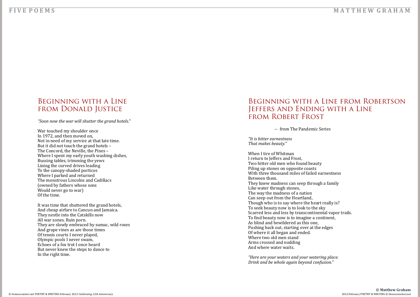## Beginning with a Line from Donald Justice

#### *"Soon now the war will shutter the grand hotels."*

War touched my shoulder once In 1972, and then moved on, Not in need of my service at that late time. But it did not touch the grand hotels – The Concord, the Neville, the Pines – Where I spent my early youth washing dishes, Bussing tables, trimming the yews Lining the curved drives leading To the canopy-shaded porticos Where I parked and returned The monstrous Lincolns and Cadillacs (owned by fathers whose sons Would never go to war) Of the time.

It was time that shuttered the grand hotels, And cheap airfare to Cancun and Jamaica. They nestle into the Catskills now All war zones. Ruin porn. They are slowly embraced by sumac, wild roses And grape vines as are those times Of tennis courts I never played, Olympic pools I never swam, Echoes of a fox trot I once heard But never knew the steps to dance to In the right time.

#### **M A T T H E W G R A H A M**

### Beginning with a Line from Robertson Jeffers and Ending with a Line from Robert Frost

-- from The Pandemic Series

*"It is bitter earnestness That makes beauty.''*

When I tire of Whitman I return to Jeffers and Frost, Two bitter old men who found beauty Piling up stones on opposite coasts With three thousand miles of failed earnestness Between them. They knew madness can seep through a family Like water through stones, The way the madness of a nation Can seep out from the Heartland, Though who is to say where the heart really is? To seek beauty now is to look to the sky Scarred less and less by transcontinental vapor trails. To find beauty now is to imagine a continent, As blind and bewildered as this one, Pushing back out, starting over at the edges Of where it all began and ended. Where two old men stand Arms crossed and nodding And where water waits.

*"Here are your waters and your watering place. Drink and be whole again beyond confusion."*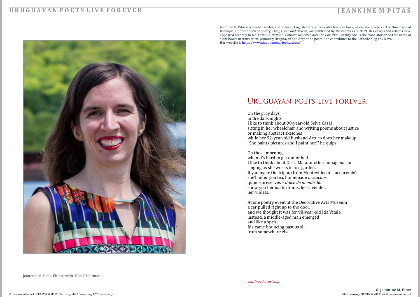#### **U R U G U A Y A N P O E T S L I V E F O R E V E R**



### Uruguayan poets live forever

On the gray days in the dark nights I like to think about 90-year-old Selva Casal sitting in her wheelchair and writing poems about justice or making abstract sketches while her 92-year-old husband Arturo does her makeup. "She paints pictures and I paint her!" he quips.

On those mornings when it's hard to get out of bed I like to think about Circe Maia, another nonagenarian singing as she works in her garden. If you make the trip up from Montevideo to Tacuarembó she'll offer you tea, homemade *bizcochos*, quince preserves – *dulce de membrillo* show you her nasturtiums, her lavender, her violets.

At one poetry event at the Decorative Arts Museum a car pulled right up to the door, and we thought it was for 98-year-old Ida Vitale instead, a middle-aged man emerged and like a sprite Ida came bouncing past us all from somewhere else.

Jeannine M. Pitas. Photo credit: Bob Felderman

Jeannine M. Pitas is a teacher, writer, and Spanish-English literary translator living in Iowa, where she teaches at the University of Dubuque. Her first book of poetry, *Things Seen and Unseen*, was published by Mosaic Press in 2019. Her essays and articles have appeared recently in *U.S. Catholic, National Catholic Reporter,* and *The Christian Century.* She is the translator or co-translator of eight books in translation, primarily Uruguayan and Argentine poets. She contributes to the Catholic blog Vox Nova. Her website is <https://www.jeanninemariepitas.com/>

#### **J E A N N I N E M P I T A S**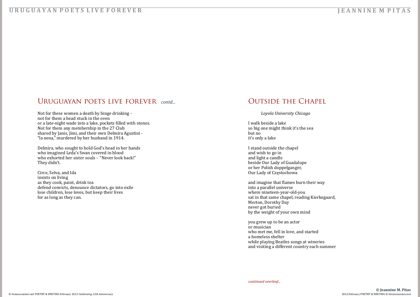Not for these women a death by binge drinking not for them a head stuck in the oven or a late-night wade into a lake, pockets filled with stones. Not for them any membership in the 27 Club shared by Janis, Jimi, and their own Delmira Agustini - "la nena," murdered by her husband in 1914.

Delmira, who sought to hold God's head in her hands who imagined Leda's Swan covered in blood who exhorted her sister souls - "Never look back!" They didn't.

Circe, Selva, and Ida insists on living as they cook, paint, drink tea defend convicts, denounce dictators, go into exile lose children, lose loves, but keep their lives for as long as they can.

## OUTSIDE THE CHAPEL

#### *Loyola University Chicago*

I walk beside a lake so big one might think it's the sea but no it's only a lake

I stand outside the chapel and wish to go in and light a candle beside Our Lady of Guadalupe or her Polish doppelganger, Our Lady of Częstochowa

and imagine that flames burn their way into a parallel universe where nineteen-year-old-you sat in that same chapel, reading Kierkegaard, Merton, Dorothy Day never got buried by the weight of your own mind

you grew up to be an actor or musician who met me, fell in love, and started a homeless shelter while playing Beatles songs at wineries and visiting a different country each summer

#### **U R U G U A Y A N P O E T S L I V E F O R E V E R**

#### URUGUAYAN POETS LIVE FOREVER *contd...*

#### **J E A N N I N E M P I T A S**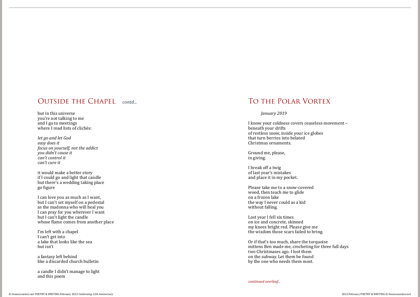#### OUTSIDE THE CHAPEL *contd...*

but in this universe you're not talking to me and I go to meetings where I read lists of clichés:

*let go and let God easy does it focus on yourself, not the addict you didn't cause it can't control it can't cure it*

it would make a better story if I could go and light that candle but there's a wedding taking place go figure

I can love you as much as I want, but I can't set myself on a pedestal as the madonna who will heal you I can pray for you wherever I want but I can't light the candle whose flame comes from another place

I'm left with a chapel I can't get into a lake that looks like the sea but isn't

a fantasy left behind like a discarded church bulletin

a candle I didn't manage to light and this poem

## To the Polar Vortex

#### *January 2019*

I know your coldness covers ceaseless movement – beneath your drifts of restless snow, inside your ice globes that turn berries into belated Christmas ornaments.

Ground me, please, in giving.

I break off a twig of last year's mistakes and place it in my pocket.

Please take me to a snow-covered wood, then teach me to glide on a frozen lake the way I never could as a kid without falling.

Last year I fell six times on ice and concrete, skinned my knees bright red. Please give me the wisdom those scars failed to bring.

Or if that's too much, share the turquoise mittens Ben made me, crocheting for three full days two Christmases ago. I lost them on the subway. Let them be found by the one who needs them most.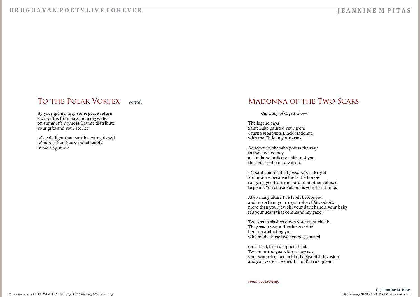By your giving, may some grace return six months from now, pouring water on summer's dryness. Let me distribute your gifts and your stories

of a cold light that can't be extinguished of mercy that thaws and abounds in melting snow.

#### **U R U G U A Y A N P O E T S L I V E F O R E V E R**

## TO THE POLAR VORTEX *contd...*

## Madonna of the Two Scars

#### *Our Lady of Częstochowa*

The legend says Saint Luke painted your icon: *Czarna Madonna*, Black Madonna with the Child in your arms.

*Hodogetria*, she who points the way to the jeweled boy a slim hand indicates him, not you the source of our salvation.

It's said you reached *Jasna Góra* – Bright Mountain – because there the horses carrying you from one lord to another refused to go on. You chose Poland as your first home.

At so many altars I've knelt before you and more than your royal robe of *fleur-de-lis* more than your jewels, your dark hands, your baby it's your scars that command my gaze -

Two sharp slashes down your right cheek. They say it was a Hussite warrior bent on abducting you who made those two scrapes, started

on a third, then dropped dead. Two hundred years later, they say your wounded face held off a Swedish invasion and you were crowned Poland's true queen.

*continued overleaf...*

#### **J E A N N I N E M P I T A S**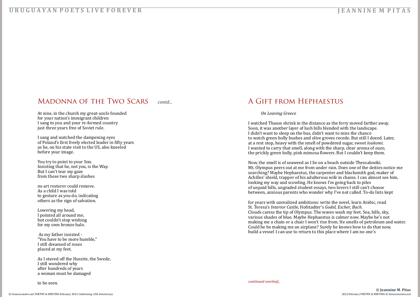At nine, in the church my great-uncle founded for your nation's immigrant children I sang to you and your re-formed country just three years free of Soviet rule.

I sang and watched the dampening eyes of Poland's first freely elected leader in fifty years as he, on his state visit to the US, also kneeled before your image.

You try to point to your Son. Insisting that he, not you, is the Way. But I can't tear my gaze from those two sharp slashes

no art restorer could remove. As a child I was told to gesture as you do, indicating others as the sign of salvation.

Lowering my head, I pointed all around me, but couldn't stop wishing for my own bronze halo.

 As my father insisted - "You have to be more humble," I still dreamed of roses placed at my feet.

As I staved off the Hussite, the Swede, I still wondered why after hundreds of years a woman must be damaged

to be seen.

#### **U R U G U A Y A N P O E T S L I V E F O R E V E R**

#### MADONNA OF THE TWO SCARS *contd...*

## A Gift from Hephaestus

#### *On Leaving Greece*

I watched Thasos shrink in the distance as the ferry moved farther away. Soon, it was another layer of lush hills blended with the landscape. I didn't want to sleep on the bus, didn't want to miss the chance to watch green holly bushes and olive groves recede. But still I dozed. Later, at a rest stop, heavy with the smell of powdered sugar, sweet *loukomi*. I wanted to carry that smell, along with the sharp, clear aroma of *ouzo*, the prickly green holly, pink mimosa flowers. But I couldn't keep them.

Now, the smell is of seaweed as I lie on a beach outside Thessaloniki. Mt. Olympus peers out at me from under rain. Does one of the deities notice me searching? Maybe Hephaestus, the carpenter and blacksmith god, maker of Achilles' shield, trapper of his adulterous wife in chains. I can almost see him, looking my way and scowling. He knows I'm going back to piles of unpaid bills, ungraded student essays, two lovers I still can't choose between, anxious parents who wonder why I've not called. To-do lists kept

for years with unrealized ambitions: write the novel, learn Arabic, read St. Teresa's *Interior Castle*, Hofstadter's *Godel*, *Escher, Bach*. Clouds caress the tip of Olympus. The waves wash my feet. Sea, hills, sky, various shades of blue. Maybe Hephaestus is calmer now. Maybe he's not making me a chain or a chair I won't rise from. He smells of petroleum and water. Could he be making me an airplane? Surely he knows how to do that now, build a vessel I can use to return to this place where I am no one's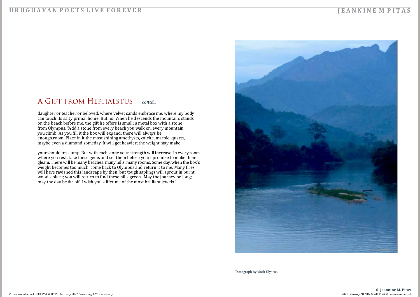### A Gift from Hephaestus *contd...*

daughter or teacher or beloved, where velvet sands embrace me, where my body can touch its salty primal home. But no. When he descends the mountain, stands on the beach before me, the gift he offers is small: a metal box with a stone from Olympus. "Add a stone from every beach you walk on, every mountain you climb. As you fill it the box will expand; there will always be enough room. Place in it the most shining amethysts, calcite, marble, quartz, maybe even a diamond someday. It will get heavier; the weight may make

your shoulders slump. But with each stone your strength will increase. In every room where you rest, take these gems and set them before you; I promise to make them gleam. There will be many beaches, many hills, many rooms. Some day, when the box's weight becomes too much, come back to Olympus and return it to me. Many fires will have ravished this landscape by then, but tough saplings will sprout in burnt wood's place; you will return to find these hills green. May the journey be long; may the day be far off. I wish you a lifetime of the most brilliant jewels."

#### **U R U G U A Y A N P O E T S L I V E F O R E V E R**

#### **J E A N N I N E M P I T A S**

Photograph by Mark Ulyseas.

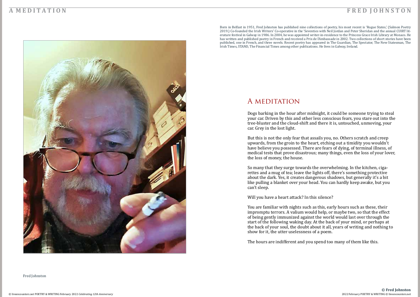#### <span id="page-14-0"></span>**A M E D I T A T I O N**



Fred Johnston

#### A meditation

#### Dogs barking in the hour after midnight, it could be someone trying to steal your car. Driven by this and other less conscious fears, you stare out into the tree-bluster and the cloud-shift and there it is, untouched, unmoving, your

car. Grey in the lost light.

But this is not the only fear that assails you, no. Others scratch and creep upwards, from the groin to the heart, etching out a timidity you wouldn't have believe you possessed. There are fears of dying, of terminal illness, of medical tests that prove disastrous; many things, even the loss of your lover, the loss of money, the house.

So many that they surge towards the overwhelming. In the kitchen, cigarettes and a mug of tea; leave the lights off, there's something protective about the dark. Yes, it creates dangerous shadows, but generally it's a bit like pulling a blanket over your head. You can hardly keep awake, but you can't sleep.

Will you have a heart attack? In this silence?

You are familiar with nights such as this, early hours such as these, their impromptu terrors. A valium would help, or maybe two, so that the effect of being gently immunized against the world would last over through the start of the following waking day. At the back of your mind, or perhaps at the back of your soul, the doubt about it all, years of writing and nothing to show for it, the utter uselessness of a poem.

The hours are indifferent and you spend too many of them like this.

#### **F R E D J O H N S T O N**

Born in Belfast in 1951, Fred Johnston has published nine collections of poetry, his most recent is 'Rogue States,' (Salmon Poetry 2019.) Co-founded the Irish Writers' Co-operative in the 'Seventies with Neil Jordan and Peter Sheridan and the annual CUIRT literature festival in Galway in 1986. In 2004, he was appointed writer-in-residence to the Princess Grace Irish Library at Monaco. He has written and published poetry in French and received a Prix de l'Ambassade in 2002. Two collections of short stories have been published, one in French, and three novels. Recent poetry has appeared in The Guardian, The Spectator, The New Statesman, The Irish Times, STAND, The Financial Times among other publications. He lives in Galway, Ireland.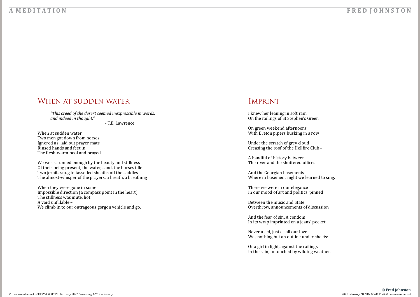#### WHEN AT SUDDEN WATER

#### **A M E D I T A T I O N F R E D J O H N S T O N**

*"This creed of the desert seemed inexpressible in words, and indeed in thought."*

- T.E. Lawrence

When at sudden water Two men got down from horses Ignored us, laid out prayer mats Rinsed hands and feet in The flesh-warm pool and prayed

We were stunned enough by the beauty and stillness Of their being present, the water, sand, the horses idle Two jezails snug in tasselled sheaths off the saddles The almost-whisper of the prayers, a breath, a breathing

And the Georgian basements Where in basement night we learned to sing.

When they were gone in some Impossible direction (a compass point in the heart) The stillness was mute, hot A void unfillable – We climb in to our outrageous gorgon vehicle and go.

## Imprint

I knew her leaning in soft rain On the railings of St Stephen's Green

On green weekend afternoons With Breton pipers busking in a row

Under the scratch of grey cloud Creasing the roof of the Hellfire Club –

A handful of history between The river and the shuttered offices

There we were in our elegance In our mood of art and politics, pinned

Between the music and State Overthrow, announcements of discussion

And the fear of sin. A condom In its wrap imprinted on a jeans' pocket

Never used, just as all our love Was nothing but an outline under sheets:

Or a girl in light, against the railings In the rain, untouched by wilding weather.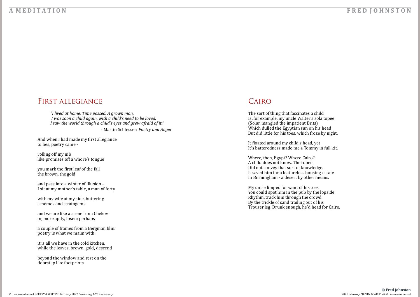#### **A M E D I T A T I O N F R E D J O H N S T O N**

#### First allegiance

*"I lived at home. Time passed. A grown man, I was soon a child again, with a child's need to be loved. I saw the world through a child's eyes and grew afraid of it."* - Martin Schlesser: *Poetry and Anger*

And when I had made my first allegiance to lies, poetry came -

rolling off my nib like promises off a whore's tongue

you mark the first leaf of the fall the brown, the gold

and pass into a winter of illusion – I sit at my mother's table, a man of forty

with my wife at my side, buttering schemes and stratagems

and we are like a scene from Chekov or, more aptly, Ibsen; perhaps

a couple of frames from a Bergman film: poetry is what we maim with,

it is all we have in the cold kitchen, while the leaves, brown, gold, descend

beyond the window and rest on the doorstep like footprints.

# **CAIRO**

The sort of thing that fascinates a child Is, for example, my uncle Walter's sola topee (Solar, mangled the impatient Brits) Which dulled the Egyptian sun on his head But did little for his toes, which froze by night.

It floated around my child's head, yet It's batteredness made me a Tommy in full kit.

Where, then, Egypt? Where Cairo? A child does not know. The topee Did not convey that sort of knowledge. It saved him for a featureless housing-estate In Birmingham - a desert by other means.

My uncle limped for want of his toes You could spot him in the pub by the lopside Rhythm, track him through the crowd By the trickle of sand trailing out of his Trouser leg. Drunk enough, he'd head for Cairo.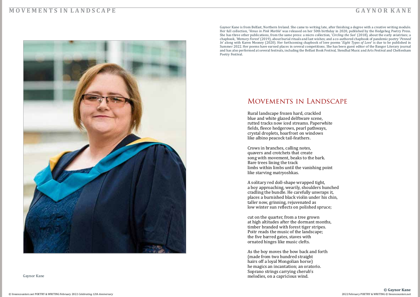#### <span id="page-17-0"></span>**M O V E M E N T S I N L A N D S C A P E**



Gaynor Kane

## Movements in Landscape

Rural landscape frozen hard, crackled blue and white glazed delftware scene, rutted tracks now iced streams. Paperwhite fields, fleece hedgerows, pearl pathways, crystal droplets, hoarfrost on windows like albino peacock tail-feathers.

Crows in branches, calling notes, quavers and crotchets that create song with movement, beaks to the bark. Bare trees lining the track limbs within limbs until the vanishing point like starving matryoshkas.

A solitary red doll-shape wrapped tight, a boy approaching, wearily, shoulders hunched cradling the bundle. He carefully unwraps it, places a burnished black violin under his chin, taller now, grinning, rejuvenated as low winter sun reflects on polished spruce;

cut on the quarter, from a tree grown at high altitudes after the dormant months, timber branded with forest tiger stripes. Poitr reads the music of the landscape; the five barred gates, staves with ornated hinges like music clefts.

As the boy moves the bow back and forth (made from two hundred straight hairs off a loyal Mongolian horse) he magics an incantation; an oratorio. Soprano strings carrying cherub's melodies, on a capricious wind.

#### **G A Y N O R K A N E**

Gaynor Kane is from Belfast, Northern Ireland. She came to writing late, after finishing a degree with a creative writing module. Her full collection, '*Venus in Pink Marble*' was released on her 50th birthday in 2020, published by the Hedgehog Poetry Press. She has three other publications, from the same press: a micro collection, '*Circling the Sun*' (2018), about the early aviatrixes; a chapbook, '*Memory Forest*' (2019), about burial rituals and last wishes; and a co-authored chapbook of pandemic poetry '*Penned In*' along with Karen Mooney (2020). Her forthcoming chapbook of love poems '*Eight Types of Love*' is due to be published in Summer 2022. Her poems have earned places in several competitions. She has been guest editor of the Bangor Literary journal and has also performed at several festivals, including the Belfast Book Festival, Stendhal Music and Arts Festival and Cheltenham Poetry Festival.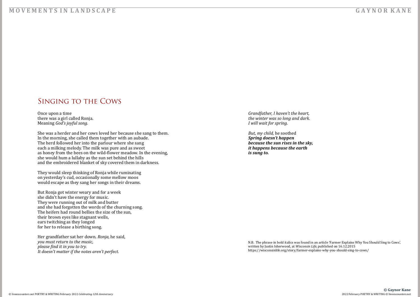## Singing to the Cows

Once upon a time there was a girl called Ronja. Meaning *God's joyful song.* 

She was a herder and her cows loved her because she sang to them. In the morning, she called them together with an aubade. The herd followed her into the parlour where she sang each a milking melody. The milk was pure and as sweet as honey from the bees on the wild-flower meadow. In the evening, she would hum a lullaby as the sun set behind the hills and the embroidered blanket of sky covered them in darkness.

They would sleep thinking of Ronja while ruminating on yesterday's cud, occasionally some mellow moos would escape as they sang her songs in their dreams.

But Ronja got winter weary and for a week she didn't have the energy for music. They were running out of milk and butter and she had forgotten the words of the churning song. The heifers had round bellies the size of the sun, their brown eyes like stagnant wells, ears twitching as they longed for her to release a birthing song.

Her grandfather sat her down. *Ronja,* he said, *you must return to the music, please find it in you to try. It doesn't matter if the notes aren't perfect.*

*Grandfather, I haven't the heart, the winter was so long and dark. I will wait for spring.*

*But, my child,* he soothed *Spring doesn't happen because the sun rises in the sky, it happens because the earth is sung to.*

N.B. The phrase in bold italics was found in an article 'Farmer Explains Why You Should Sing to Cows', written by Justin Isherwood, at *Wisconsin Life*, published on 16.12.2015 https://wisconsinlife.org/story/farmer-explains-why-you-should-sing-to-cows/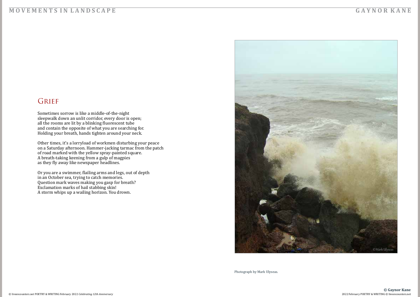#### **M O V E M E N T S I N L A N D S C A P E G A Y N O R K A N E**

## **GRIEF**

Sometimes sorrow is like a middle-of-the-night sleepwalk down an unlit corridor, every door is open; all the rooms are lit by a blinking fluorescent tube and contain the opposite of what you are searching for. Holding your breath, hands tighten around your neck.

Other times, it's a lorryload of workmen disturbing your peace on a Saturday afternoon. Hammer-jacking tarmac from the patch of road marked with the yellow spray-painted square. A breath-taking keening from a gulp of magpies as they fly away like newspaper headlines.

Or you are a swimmer, flailing arms and legs, out of depth in an October sea, trying to catch memories. Question mark waves making you gasp for breath? Exclamation marks of hail stabbing skin! A storm whips up a wailing horizon. You drown.

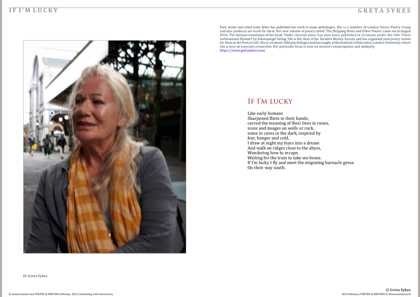#### <span id="page-20-0"></span>**I F I ' M L U C K Y**



Like early humans Sharpened flints in their hands, carved the meaning of their lives in runes, icons and images on walls or rock, some in caves in the dark, inspired by fear, hunger and cold, I draw at night my fears into a dream And walk on ridges close to the abyss, Wondering how to escape. Waiting for the train to take me home. If I'm lucky I fly and meet the migrating barnacle geese On their way south.

Dr Greta Sykes

Poet, writer and artist Greta Sykes has published her work in many anthologies. She is a member of London Voices Poetry Group and also produces art work for them. Her new volume of poetry called 'The Shipping News and Other Poems' came out in August 2016. The German translation of her book 'Under charred skies' has now been published in Germany under the title 'Unter verbranntem Himmel' by Eulenspiegel Verlag. She is the chair of the Socialist History Society and has organised joint poetry events for them at the Poetry Café. She is a trained child psychologist and has taught at the Institute of Education, London University, where she is now an associate researcher. Her particular focus is now on women's emancipation and antiquity. https://www.gretasykes.com/

# IF I'M LUCKY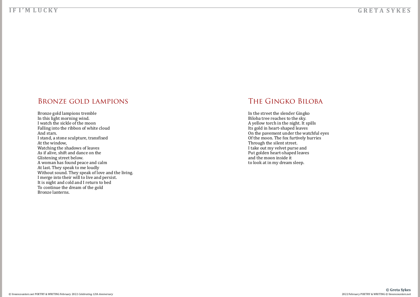#### Bronze gold lampions

Bronze gold lampions tremble In this light morning wind. I watch the sickle of the moon Falling into the ribbon of white cloud And stars. I stand, a stone sculpture, transfixed At the window, Watching the shadows of leaves As if alive, shift and dance on the Glistening street below. A woman has found peace and calm At last. They speak to me loudly Without sound. They speak of love and the living. I merge into their will to live and persist. It is night and cold and I return to bed To continue the dream of the gold Bronze lanterns.

## The Gingko Biloba

In the street the slender Gingko Biloba tree reaches to the sky. A yellow torch in the night. It spills Its gold in heart-shaped leaves On the pavement under the watchful eyes Of the moon. The fox furtively hurries Through the silent street. I take out my velvet purse and Put golden heart-shaped leaves and the moon inside it to look at in my dream sleep.

#### **I F I ' M L U C K Y**

 **© Greta Sykes**

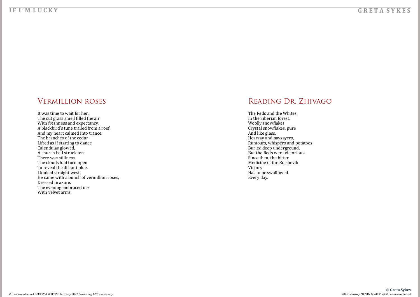It was time to wait for her. The cut grass smell filled the air With freshness and expectancy. A blackbird's tune trailed from a roof, And my heart calmed into trance. The branches of the cedar Lifted as if starting to dance Calendulas glowed, A church bell struck ten. There was stillness. The clouds had torn open To reveal the distant blue. I looked straight west. He came with a bunch of vermillion roses, Dressed in azure. The evening embraced me With velvet arms.

#### Vermillion roses

## Reading Dr. Zhivago

The Reds and the Whites In the Siberian forest. Woolly snowflakes Crystal snowflakes, pure And like glass. Hearsay and naysayers, Rumours, whispers and potatoes Buried deep underground. But the Reds were victorious. Since then, the bitter Medicine of the Bolshevik Victory Has to be swallowed Every day.

#### **I F I ' M L U C K Y**

 **© Greta Sykes**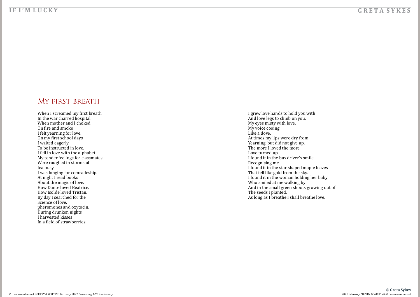#### My first breath

When I screamed my first breath In the war charred hospital When mother and I choked On fire and smoke I felt yearning for love. On my first school days I waited eagerly To be instructed in love. I fell in love with the alphabet. My tender feelings for classmates Were roughed in storms of Jealousy. I was longing for comradeship. At night I read books About the magic of love. How Dante loved Beatrice. How Isolde loved Tristan. By day I searched for the Science of love. pheromones and oxytocin. During drunken nights I harvested kisses In a field of strawberries.

I grew love hands to hold you with And love legs to climb on you, My eyes misty with love, My voice cooing Like a dove. At times my lips were dry from Yearning, but did not give up. The more I loved the more Love turned up. I found it in the bus driver's smile Recognising me. I found it in the star shaped maple leaves That fell like gold from the sky. I found it in the woman holding her baby Who smiled at me walking by And in the small green shoots growing out of The seeds I planted. As long as I breathe I shall breathe love.

#### **I F I ' M L U C K Y**

# **© Greta Sykes**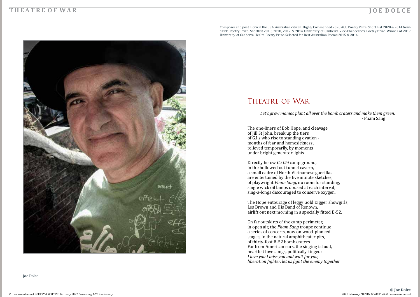#### <span id="page-24-0"></span>**T H E A T R E O F W A R**



Joe Dolce

#### *Let's grow manioc plant all over the bomb craters and make them green. -* Pham Sang

The one-liners of Bob Hope, and cleavage of Jill St John, break up the tiers of G.I.s who rise to standing ovation months of fear and homesickness, relieved temporarily, by moments under bright generator lights.

Directly below *Củ Chi* camp ground, in the hollowed out tunnel cavern, a small cadre of North Vietnamese guerillas are entertained by the five minute sketches, of playwright *Pham Sang*, no room for standing, single wick oil lamps doused at each interval, sing-a-longs discouraged to conserve oxygen.

The Hope entourage of leggy Gold Digger showgirls, Les Brown and His Band of Renown, airlift out next morning in a specially fitted B-52.

On far outskirts of the camp perimeter, in open air, the *Pham Sang* troupe continue a series of concerts, now on wood-planked stages, in the natural amphitheater pits, of thirty-foot B-52 bomb craters. Far from American ears, the singing is loud, heartfelt love songs, politically-tinged: *I love you I miss you and wait for you, liberation fighter, let us fight the enemy together.*

Composer and poet. Born in the USA. Australian citizen. Highly Commended 2020 ACU Poetry Prize. Short List 2020 & 2014 Newcastle Poetry Prize. Shortlist 2019, 2018, 2017 & 2014 University of Canberra Vice-Chancellor's Poetry Prize. Winner of 2017 University of Canberra Health Poetry Prize. Selected for Best Australian Poems 2015 & 2014.

## THEATRE OF WAR

#### **J O E D O L C E**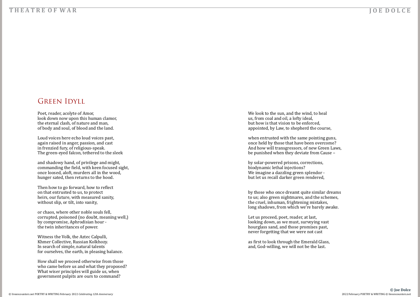#### **T H E A T R E O F W A R**

### Green Idyll

Poet, reader, acolyte of Amor, look down now upon this human clamor, the eternal clash, of nature and man, of body and soul, of blood and the land.

Loud voices here echo loud voices past, again raised in anger, passion, and cast in frenzied fury, of religious-speak. The green-eyed falcon, tethered to the sleek

and shadowy hand, of privilege and might, commanding the field, with keen focused sight, once loosed, aloft, murders all in the wood, hunger sated, then returns to the hood.

Then how to go forward, how to reflect on that entrusted to us, to protect heirs, our future, with measured sanity, without slip, or tilt, into vanity,

or chaos, where other noble souls fell, corrupted, poisoned (no doubt, meaning well,) by compromise, Aphrodisian hour the twin inheritances of power.

Witness the Volk, the Aztec Calpulli, Khmer Collective, Russian Kolkhozy. In search of simple, natural talents for ourselves, the earth, in pleasing balance.

How shall we proceed otherwise from those who came before us and what they proposed? What wiser principles will guide us, when government pulpits are ours to command?

#### **J O E D O L C E**

We look to the sun, and the wind, to heal us, from coal and oil, a lofty ideal, but how is that vision to be enforced, appointed, by Law, to shepherd the course,

when entrusted with the same pointing guns, once held by those that have been overcome? And how will transgressors, of new Green Laws, be punished when they deviate from Cause –

by solar-powered prisons, corrections, biodynamic lethal injections? We imagine a dazzling green splendor but let us recall darker green rendered,

by those who once dreamt quite similar dreams to us; also green nightmares, and the schemes, the cruel, inhuman, frightening mistakes, long shadows, from which we're barely awake.

Let us proceed, poet, reader, at last, looking down, as we must, surveying vast hourglass sand, and those promises past, never forgetting that we were not cast

as first to look through the Emerald Glass, and, God-willing, we will not be the last.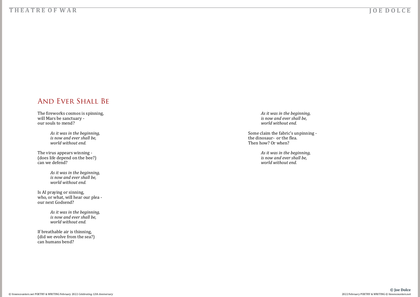#### **T H E A T R E O F W A R**

## And Ever Shall Be

The fireworks cosmos is spinning, will Mars be sanctuary our souls to mend?

> *As it was in the beginning, is now and ever shall be, world without end.*

The virus appears winning - (does life depend on the bee?) can we defend?

> *As it was in the beginning, is now and ever shall be, world without end.*

Is AI praying or sinning, who, or what, will hear our plea our next Godsend?

> *As it was in the beginning, is now and ever shall be, world without end.*

If breathable air is thinning, (did we evolve from the sea?) can humans bend?

#### **J O E D O L C E**

*As it was in the beginning, is now and ever shall be, world without end.*

Some claim the fabric's unpinning the dinosaur- or the flea. Then how? Or when?

> *As it was in the beginning, is now and ever shall be, world without end.*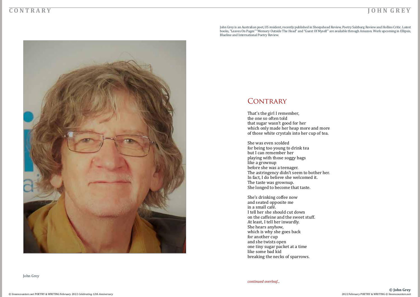#### <span id="page-27-0"></span>**C O N T R A R Y**



John Grey

That's the girl I remember, the one so often told that sugar wasn't good for her which only made her heap more and more of those white crystals into her cup of tea.

She was even scolded for being too young to drink tea but I can remember her playing with those soggy bags like a grownup before she was a teenager. The astringency didn't seem to bother her. In fact, I do believe she welcomed it. The taste was grownup. She longed to become that taste.

She's drinking coffee now and seated opposite me in a small café. I tell her she should cut down on the caffeine and the sweet stuff. At least, I tell her inwardly. She hears anyhow, which is why she goes back for another cup and she twists open one tiny sugar packet at a time like some bad kid breaking the necks of sparrows.

## **J O H N G R E Y**

John Grey is an Australian poet, US resident, recently published in Sheepshead Review, Poetry Salzburg Review and Hollins Critic. Latest books, "Leaves On Pages" "Memory Outside The Head" and "Guest Of Myself" are available through Amazon. Work upcoming in Ellipsis, Blueline and International Poetry Review.

## CONTRARY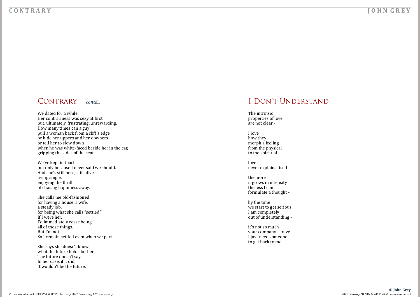## CONTRARY *contd...*

We dated for a while. Her contrariness was sexy at first but, ultimately, frustrating, unrewarding. How many times can a guy pull a woman back from a cliff's edge or hide her uppers and her downers or tell her to slow down when he was white-faced beside her in the car, gripping the sides of the seat.

We've kept in touch but only because I never said we should. And she's still here, still alive, living single, enjoying the thrill of chasing happiness away.

She calls me old-fashioned for having a house, a wife, a steady job, for being what she calls "settled." If I were her, I'd immediately cease being all of those things. But I'm not. So I remain settled even when we part.

She says she doesn't know what the future holds for her. The future doesn't say. In her case, if it did, it wouldn't be the future.

#### **C O N T R A R Y J O H N G R E Y**

**© John Grey**

## I Don't Understand

The intrinsic properties of love are not clear -

I love how they morph a feeling from the physical to the spiritual -

love never explains itself -

the more it grows in intensity the less I can formulate a thought -

by the time we start to get serious I am completely out of understanding -

it's not so much your company I crave I just need someone to get back to me.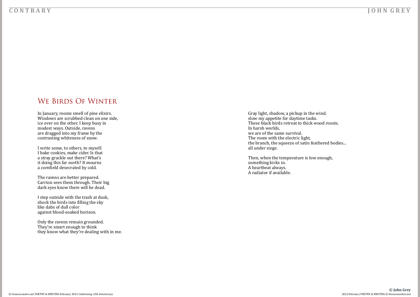## WE BIRDS OF WINTER

In January, rooms smell of pine elixirs. Windows are scrubbed clean on one side. ice over on the other. I keep busy in modest ways. Outside, ravens are dragged into my frame by the contrasting whiteness of snow.

I write some, to others, to myself. I bake cookies, make cider. Is that a stray grackle out there? What's it doing this far north? It mourns a cornfield desecrated by cold.

The ravens are better prepared. Carrion sees them through. Their big dark eyes know there will be dead.

I step outside with the trash at dusk, shock the birds into filling the sky like dabs of dull color against blood-soaked horizon.

Only the ravens remain grounded. They're smart enough to think they know what they're dealing with in me.

### **C O N T R A R Y J O H N G R E Y**

Gray light, shadow, a pickup in the wind. slow my appetite for daytime tasks. These black birds retreat to thick wood roosts. In harsh worlds, we are of the same survival. The room with the electric light, the branch, the squeeze of satin feathered bodies... all under siege.

Then, when the temperature is low enough, something kicks in. A heartbeat always. A radiator if available.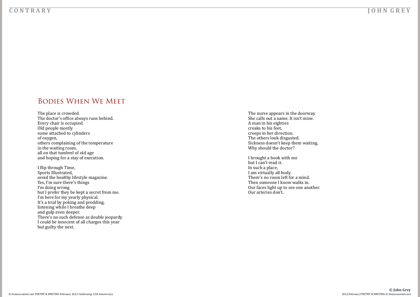### Bodies When We Meet

The place is crowded. The doctor's office always runs behind. Every chair is occupied. Old people mostly some attached to cylinders of oxygen, others complaining of the temperature in the waiting room, all on that tumbrel of old age and hoping for a stay of execution.

The nurse appears in the doorway. She calls out a name. It isn't mine. A man in his eighties creaks to his feet, creeps in her direction. The others look disgusted. Sickness doesn't keep them waiting. Why should the doctor?

I flip through Time, Sports Illustrated, avoid the healthy lifestyle magazine. Yes, I'm sure there's things I'm doing wrong but I prefer they be kept a secret from me. I'm here for my yearly physical. It's a trial by poking and prodding, listening while I breathe deep and gulp even deeper. There's no such defense as double jeopardy. I could be innocent of all charges this year but guilty the next.

#### **C O N T R A R Y J O H N G R E Y**

I brought a book with me but I can't read it. In such a place, I am virtually all body. There's no room left for a mind. Then someone I know walks in. Our faces light up to see one another. Our arteries don't.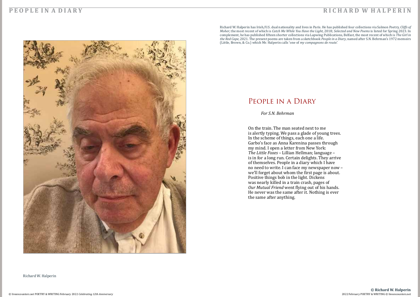#### <span id="page-31-0"></span>**P E O P L E I N A D I A R Y**



Richard W. Halperin

### People in a Diary

*For S.N. Behrman*

On the train. The man seated next to me is alertly typing. We pass a glade of young trees. In the scheme of things, each one a life. Garbo's face as Anna Karenina passes through my mind. I open a letter from New York: *The Little Foxes* – Lillian Hellman; language – is in for a long run. Certain delights. They arrive of themselves. People in a diary which I have no need to write. I can face my newspaper now – we'll forget about whom the first page is about. Positive things bob in the light. Dickens was nearly killed in a train crash, pages of *Our Mutual Friend* went flying out of his hands. He never was the same after it. Nothing is ever the same after anything.

Richard W. Halperin has Irish/U.S. dual nationality and lives in Paris. He has published four collections via Salmon Poetry, *Cliffs of Moher*, the most recent of which is *Catch Me While You Have the Light*, 2018; *Selected and New Poems* is listed for Spring 2023. In complement, he has published fifteen shorter collections via Lapwing Publications, Belfast, the most recent of which is *The Girl in the Red Cape*, 2021. The present poems are taken from a sketchbook *People in a Diary*, named after S.N. Behrman's 1972 memoirs (Little, Brown, & Co.) which Mr. Halperin calls 'one of *my compagnons de route*.'

#### **R I C H A R D W H A L P E R I N**

### **© Richard W. Halperin**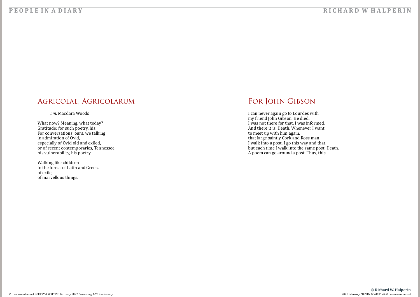#### Agricolae, Agricolarum

*i.m.* Macdara Woods

What now? Meaning, what today? Gratitude: for such poetry, his. For conversations, ours, we talking in admiration of Ovid, especially of Ovid old and exiled, or of recent contemporaries, Tennessee, his vulnerability, his poetry.

Walking like children in the forest of Latin and Greek, of exile, of marvellous things.

#### **P E O P L E I N A D I A R Y R I C H A R D W H A L P E R I N**

# **© Richard W. Halperin**

# For John Gibson

I can never again go to Lourdes with my friend John Gibson. He died. I was not there for that. I was informed. And there it is. Death. Whenever I want to meet up with him again, that large saintly Cork and Ross man, I walk into a post. I go this way and that, but each time I walk into the same post. Death. A poem can go around a post. Thus, this.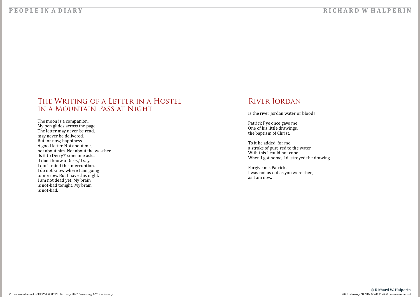### THE WRITING OF A LETTER IN A HOSTEL in a Mountain Pass at Night

To it he added, for me, a stroke of pure red to the water. With this I could not cope. When I got home, I destroyed the drawing.

The moon is a companion. My pen glides across the page. The letter may never be read, may never be delivered. But for now, happiness. A good letter. Not about me, not about him. Not about the weather. 'Is it to Derry?' someone asks. 'I don't know a Derry,' I say. I don't mind the interruption. I do not know where I am going tomorrow. But I have this night. I am not dead yet. My brain is not-bad tonight. My brain is not-bad.

#### **R I C H A R D W H A L P E R I N**

#### **© Richard W. Halperin**

# River Jordan

Is the river Jordan water or blood?

Patrick Pye once gave me One of his little drawings, the baptism of Christ.

Forgive me, Patrick. I was not as old as you were then, as I am now.

#### **P E O P L E I N A D I A R Y**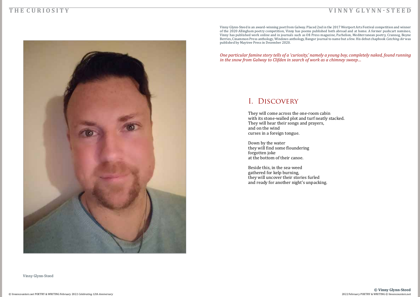#### <span id="page-34-0"></span>**T H E C U R I O S I T Y**



Vinny Glynn-Steed

## I. Discovery

They will come across the one-room cabin with its stone-walled plot and turf neatly stacked. They will hear their songs and prayers, and on the wind curses in a foreign tongue.

Down by the water they will find some floundering forgotten joke at the bottom of their canoe.

Beside this, in the sea-weed gathered for kelp burning, they will uncover their stories furled and ready for another night's unpacking.

Vinny Glynn-Steed is an award-winning poet from Galway. Placed 2nd in the 2017 Westport Arts Festival competition and winner of the 2020 Allingham poetry competition, Vinny has poems published both abroad and at home. A former pushcart nominee, Vinny has published work online and in journals such as Ofi Press magazine, Parhelion, Mediterranean poetry, Crannog, Boyne Berries, Cinammon Press anthology, Windows anthology, Bangor journal to name but a few. His debut chapbook *Catching Air* was published by Maytree Press in December 2020.

# *One particular famine story tells of a 'curiosity,' namely a young boy, completely naked, found running*

*in the snow from Galway to Clifden in search of work as a chimney sweep…*

#### **V I N N Y G L Y N N - S T E E D**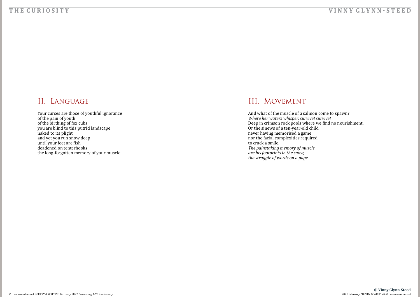Your curses are those of youthful ignorance of the pain of youth of the birthing of fox cubs you are blind to this putrid landscape naked to its plight and yet you run snow deep until your feet are fish deadened on tenterhooks the long-forgotten memory of your muscle.

## III. MOVEMENT

#### **T H E C U R I O S I T Y**

## II. LANGUAGE

And what of the muscle of a salmon come to spawn? *Where her waters whisper, survive! survive!* Deep in crimson rock pools where we find no nourishment. Or the sinews of a ten-year-old child never having memorised a game nor the facial complexities required to crack a smile.

*The painstaking memory of muscle are his footprints in the snow, the struggle of words on a page.*

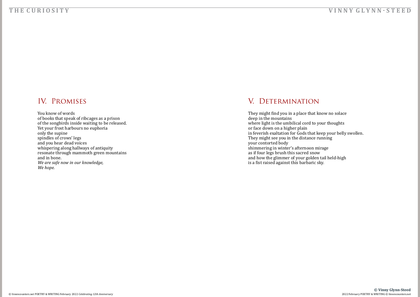### IV. Promises

You know of words of books that speak of ribcages as a prison of the songbirds inside waiting to be released. Yet your frost harbours no euphoria only the supine spindles of crows' legs and you hear dead voices whispering along hallways of antiquity resonate through mammoth green mountains and in bone. *We are safe now in our knowledge, We hope.*

## V. DETERMINATION

#### **T H E C U R I O S I T Y**

They might find you in a place that know no solace deep in the mountains where light is the umbilical cord to your thoughts or face down on a higher plain in feverish exaltation for Gods that keep your belly swollen. They might see you in the distance running your contorted body shimmering in winter's afternoon mirage as if four legs brush this sacred snow and how the glimmer of your golden tail held-high is a fist raised against this barbaric sky.